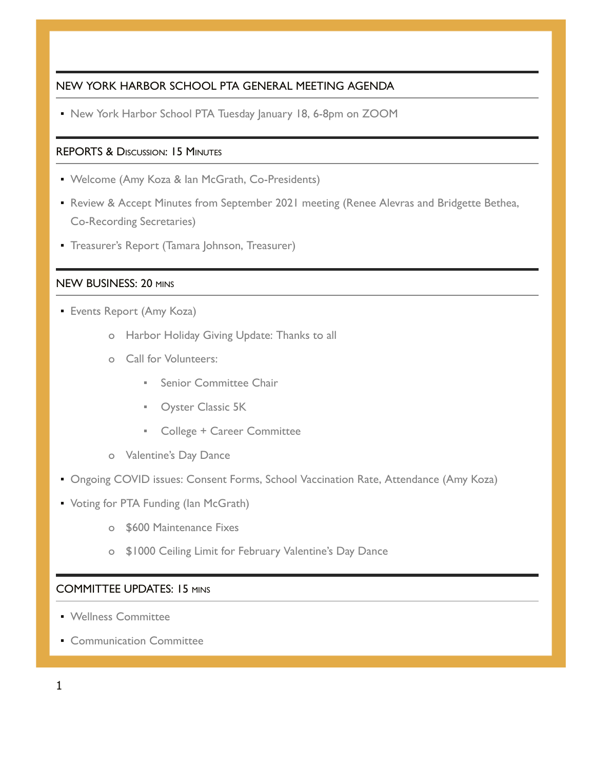# NEW YORK HARBOR SCHOOL PTA GENERAL MEETING AGENDA

• New York Harbor School PTA Tuesday January 18, 6-8pm on ZOOM

# REPORTS & DISCUSSION: 15 MINUTES

- Welcome (Amy Koza & Ian McGrath, Co-Presidents)
- **Review & Accept Minutes from September 2021 meeting (Renee Alevras and Bridgette Bethea,** Co-Recording Secretaries)
- **Treasurer's Report (Tamara Johnson, Treasurer)**

## NEW BUSINESS: 20 MINS

- **Events Report (Amy Koza)** 
	- o Harbor Holiday Giving Update: Thanks to all
	- o Call for Volunteers:
		- Senior Committee Chair
		- **Oyster Classic 5K**
		- College + Career Committee
	- o Valentine's Day Dance
- **Ongoing COVID issues: Consent Forms, School Vaccination Rate, Attendance (Amy Koza)**
- Voting for PTA Funding (Ian McGrath)
	- o \$600 Maintenance Fixes
	- o \$1000 Ceiling Limit for February Valentine's Day Dance

#### COMMITTEE UPDATES: 15 MINS

- Wellness Committee
- **Communication Committee**